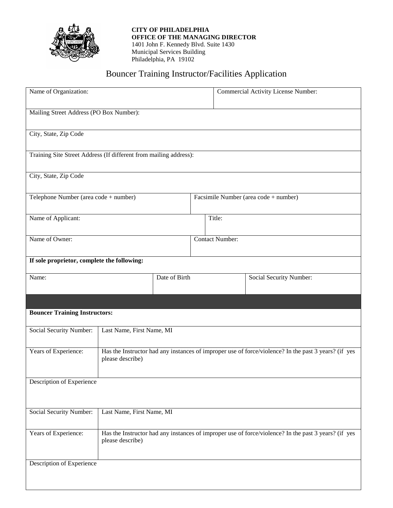

**CITY OF PHILADELPHIA OFFICE OF THE MANAGING DIRECTOR** 1401 John F. Kennedy Blvd. Suite 1430 Municipal Services Building Philadelphia, PA 19102

## Bouncer Training Instructor/Facilities Application

| Name of Organization:                                             |                                                                                                                          |  |                                       | Commercial Activity License Number: |                         |  |
|-------------------------------------------------------------------|--------------------------------------------------------------------------------------------------------------------------|--|---------------------------------------|-------------------------------------|-------------------------|--|
| Mailing Street Address (PO Box Number):                           |                                                                                                                          |  |                                       |                                     |                         |  |
| City, State, Zip Code                                             |                                                                                                                          |  |                                       |                                     |                         |  |
| Training Site Street Address (If different from mailing address): |                                                                                                                          |  |                                       |                                     |                         |  |
| City, State, Zip Code                                             |                                                                                                                          |  |                                       |                                     |                         |  |
| Telephone Number (area code + number)                             |                                                                                                                          |  | Facsimile Number (area code + number) |                                     |                         |  |
| Name of Applicant:                                                |                                                                                                                          |  | Title:                                |                                     |                         |  |
| Name of Owner:                                                    |                                                                                                                          |  | <b>Contact Number:</b>                |                                     |                         |  |
| If sole proprietor, complete the following:                       |                                                                                                                          |  |                                       |                                     |                         |  |
| Name:                                                             | Date of Birth                                                                                                            |  |                                       |                                     | Social Security Number: |  |
|                                                                   |                                                                                                                          |  |                                       |                                     |                         |  |
| <b>Bouncer Training Instructors:</b>                              |                                                                                                                          |  |                                       |                                     |                         |  |
| Social Security Number:                                           | Last Name, First Name, MI                                                                                                |  |                                       |                                     |                         |  |
| Years of Experience:                                              | Has the Instructor had any instances of improper use of force/violence? In the past 3 years? (if yes<br>please describe) |  |                                       |                                     |                         |  |
| Description of Experience                                         |                                                                                                                          |  |                                       |                                     |                         |  |
| Social Security Number:                                           | Last Name, First Name, MI                                                                                                |  |                                       |                                     |                         |  |
| Years of Experience:                                              | Has the Instructor had any instances of improper use of force/violence? In the past 3 years? (if yes<br>please describe) |  |                                       |                                     |                         |  |
| Description of Experience                                         |                                                                                                                          |  |                                       |                                     |                         |  |